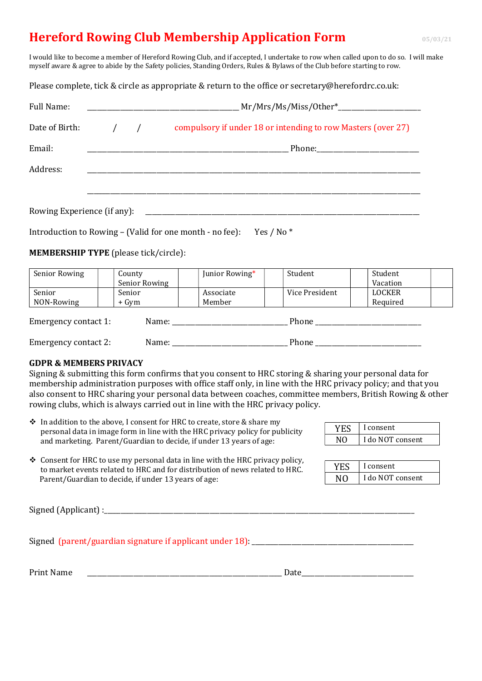## Hereford Rowing Club Membership Application Form **1995/03/21** 05/03/21

I would like to become a member of Hereford Rowing Club, and if accepted, I undertake to row when called upon to do so. I will make myself aware & agree to abide by the Safety policies, Standing Orders, Rules & Bylaws of the Club before starting to row.

Please complete, tick & circle as appropriate & return to the office or secretary@herefordrc.co.uk:

| Full Name:                  |               | $Mr/Mrs/Ms/Miss/Other^*$<br><u> 1989 - John Stein, Amerikaansk politiker (</u>                                                                                                                                                |
|-----------------------------|---------------|-------------------------------------------------------------------------------------------------------------------------------------------------------------------------------------------------------------------------------|
| Date of Birth:              | $\frac{1}{2}$ | compulsory if under 18 or intending to row Masters (over 27)                                                                                                                                                                  |
| Email:                      |               | the control of the control of the control of the control of the control of the control of the control of the control of the control of the control of the control of the control of the control of the control of the control |
| Address:                    |               |                                                                                                                                                                                                                               |
|                             |               |                                                                                                                                                                                                                               |
| Rowing Experience (if any): |               |                                                                                                                                                                                                                               |

Introduction to Rowing - (Valid for one month - no fee): Yes / No \*

MEMBERSHIP TYPE (please tick/circle):

| Senior Rowing                 | County        | Junior Rowing* | Student        | Student       |  |
|-------------------------------|---------------|----------------|----------------|---------------|--|
|                               | Senior Rowing |                |                | Vacation      |  |
| Senior                        | Senior        | Associate      | Vice President | <b>LOCKER</b> |  |
| NON-Rowing                    | + Gym         | Member         |                | Required      |  |
| Emergency contact 1:          |               | Name:          | Phone          |               |  |
| Emergency contact 2:<br>Name: |               |                | Phone          |               |  |

## GDPR & MEMBERS PRIVACY

Signing & submitting this form confirms that you consent to HRC storing & sharing your personal data for membership administration purposes with office staff only, in line with the HRC privacy policy; and that you also consent to HRC sharing your personal data between coaches, committee members, British Rowing & other rowing clubs, which is always carried out in line with the HRC privacy policy.

- In addition to the above, I consent for HRC to create, store & share my personal data in image form in line with the HRC privacy policy for publicity and marketing. Parent/Guardian to decide, if under 13 years of age:
- YES | I consent NO I do NOT consent
- $\triangle$  Consent for HRC to use my personal data in line with the HRC privacy policy, to market events related to HRC and for distribution of news related to HRC. Parent/Guardian to decide, if under 13 years of age:

| <b>YES</b> | I consent        |
|------------|------------------|
| NΩ         | I do NOT consent |

 $Signal (Application):$ 

Signed (parent/guardian signature if applicant under  $18$ ):

Print Name **Date**